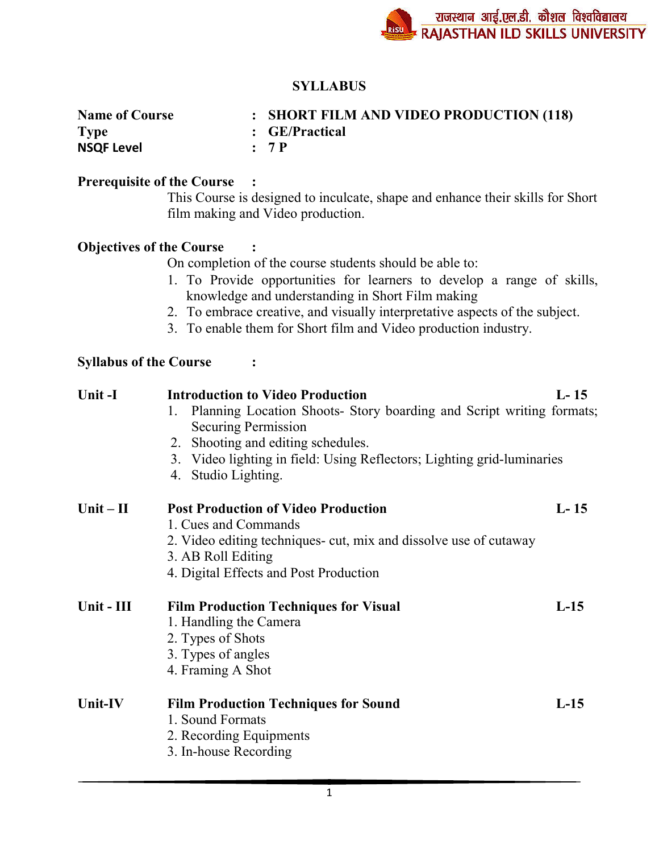# **SYLLABUS**

| <b>Name of Course</b> | : SHORT FILM AND VIDEO PRODUCTION (118) |
|-----------------------|-----------------------------------------|
| <b>Type</b>           | : GE/Practical                          |
| <b>NSQF Level</b>     | : 7P                                    |

#### **Prerequisite of the Course :**

This Course is designed to inculcate, shape and enhance their skills for Short film making and Video production.

## **Objectives of the Course :**

On completion of the course students should be able to:

- 1. To Provide opportunities for learners to develop a range of skills, knowledge and understanding in Short Film making
- 2. To embrace creative, and visually interpretative aspects of the subject.
- 3. To enable them for Short film and Video production industry.

### **Syllabus of the Course :**

| Unit-I      | <b>Introduction to Video Production</b>                                                                      | $L-15$ |
|-------------|--------------------------------------------------------------------------------------------------------------|--------|
|             | Planning Location Shoots- Story boarding and Script writing formats;<br>1.                                   |        |
|             | <b>Securing Permission</b>                                                                                   |        |
|             | 2. Shooting and editing schedules.<br>3. Video lighting in field: Using Reflectors; Lighting grid-luminaries |        |
|             | Studio Lighting.<br>4.                                                                                       |        |
| $Unit - II$ | <b>Post Production of Video Production</b>                                                                   | $L-15$ |
|             | 1. Cues and Commands                                                                                         |        |
|             | 2. Video editing techniques cut, mix and dissolve use of cutaway                                             |        |
|             | 3. AB Roll Editing<br>4. Digital Effects and Post Production                                                 |        |
|             |                                                                                                              |        |
| Unit - III  | <b>Film Production Techniques for Visual</b>                                                                 | $L-15$ |
|             | 1. Handling the Camera                                                                                       |        |
|             | 2. Types of Shots                                                                                            |        |
|             | 3. Types of angles                                                                                           |        |
|             | 4. Framing A Shot                                                                                            |        |
| Unit-IV     | <b>Film Production Techniques for Sound</b>                                                                  | $L-15$ |
|             | 1. Sound Formats                                                                                             |        |
|             | 2. Recording Equipments                                                                                      |        |
|             | 3. In-house Recording                                                                                        |        |